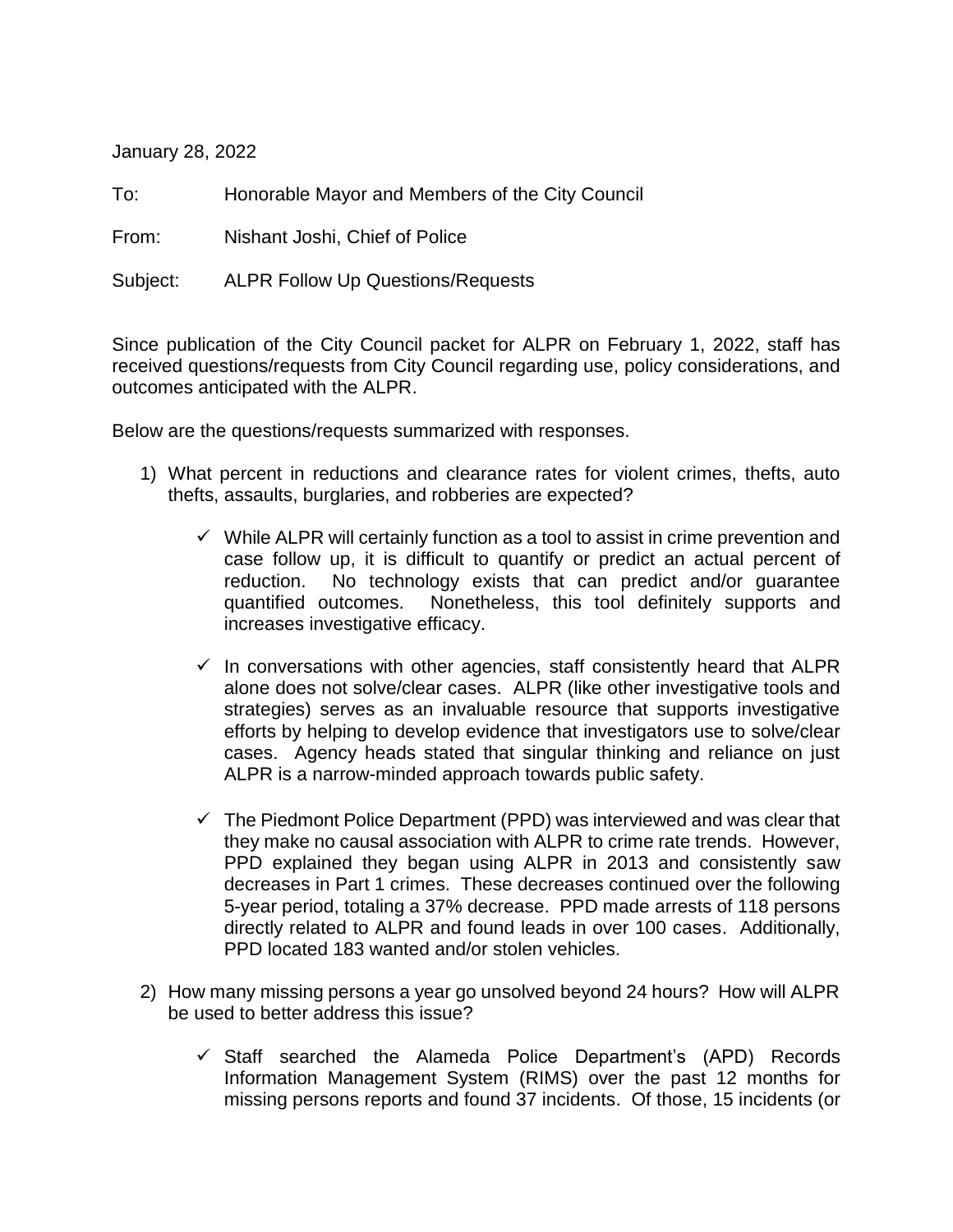January 28, 2022

To: Honorable Mayor and Members of the City Council

From: Nishant Joshi, Chief of Police

Subject: ALPR Follow Up Questions/Requests

Since publication of the City Council packet for ALPR on February 1, 2022, staff has received questions/requests from City Council regarding use, policy considerations, and outcomes anticipated with the ALPR.

Below are the questions/requests summarized with responses.

- 1) What percent in reductions and clearance rates for violent crimes, thefts, auto thefts, assaults, burglaries, and robberies are expected?
	- $\checkmark$  While ALPR will certainly function as a tool to assist in crime prevention and case follow up, it is difficult to quantify or predict an actual percent of reduction. No technology exists that can predict and/or guarantee quantified outcomes. Nonetheless, this tool definitely supports and increases investigative efficacy.
	- $\checkmark$  In conversations with other agencies, staff consistently heard that ALPR alone does not solve/clear cases. ALPR (like other investigative tools and strategies) serves as an invaluable resource that supports investigative efforts by helping to develop evidence that investigators use to solve/clear cases. Agency heads stated that singular thinking and reliance on just ALPR is a narrow-minded approach towards public safety.
	- $\checkmark$  The Piedmont Police Department (PPD) was interviewed and was clear that they make no causal association with ALPR to crime rate trends. However, PPD explained they began using ALPR in 2013 and consistently saw decreases in Part 1 crimes. These decreases continued over the following 5-year period, totaling a 37% decrease. PPD made arrests of 118 persons directly related to ALPR and found leads in over 100 cases. Additionally, PPD located 183 wanted and/or stolen vehicles.
- 2) How many missing persons a year go unsolved beyond 24 hours? How will ALPR be used to better address this issue?
	- $\checkmark$  Staff searched the Alameda Police Department's (APD) Records Information Management System (RIMS) over the past 12 months for missing persons reports and found 37 incidents. Of those, 15 incidents (or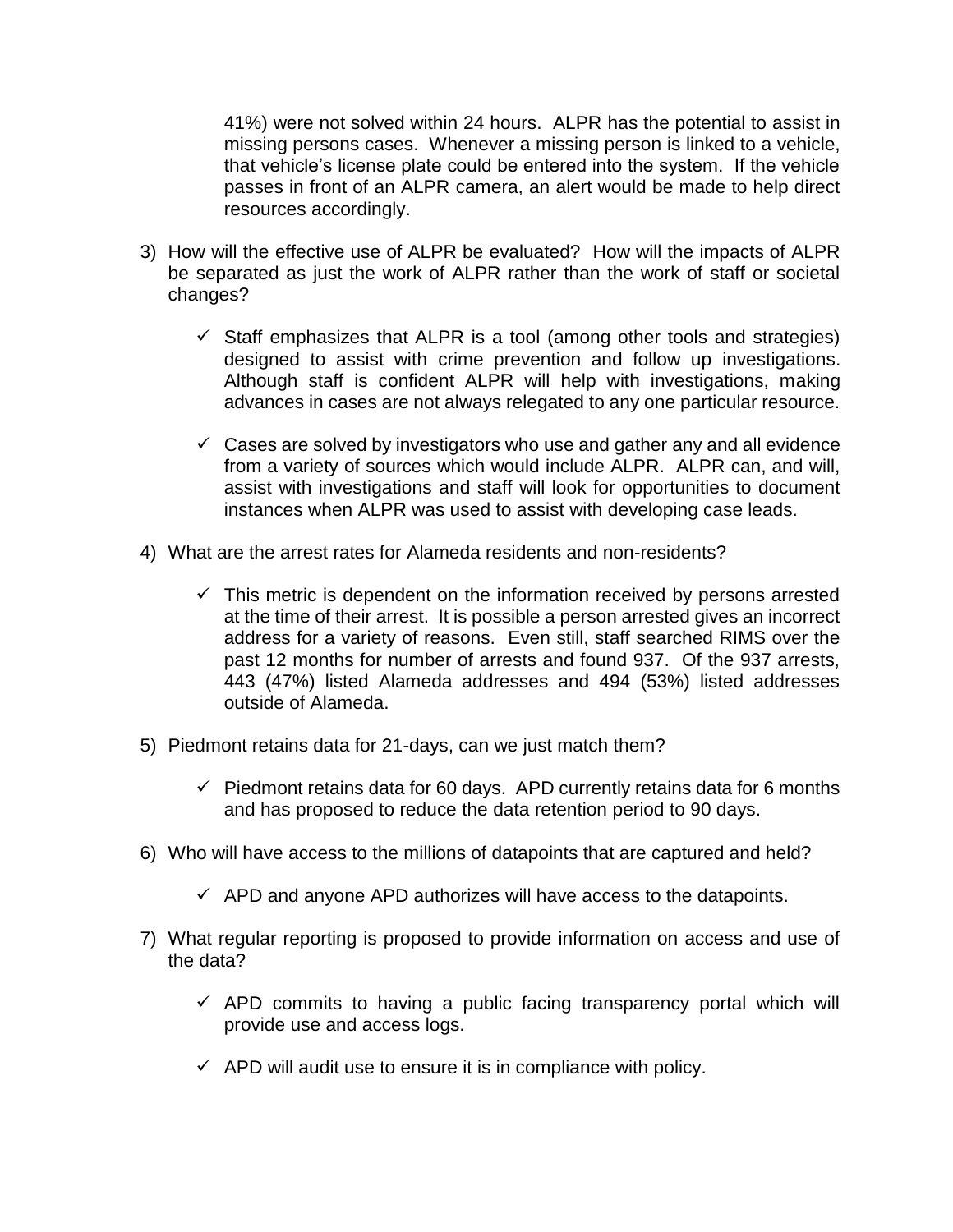41%) were not solved within 24 hours. ALPR has the potential to assist in missing persons cases. Whenever a missing person is linked to a vehicle, that vehicle's license plate could be entered into the system. If the vehicle passes in front of an ALPR camera, an alert would be made to help direct resources accordingly.

- 3) How will the effective use of ALPR be evaluated? How will the impacts of ALPR be separated as just the work of ALPR rather than the work of staff or societal changes?
	- $\checkmark$  Staff emphasizes that ALPR is a tool (among other tools and strategies) designed to assist with crime prevention and follow up investigations. Although staff is confident ALPR will help with investigations, making advances in cases are not always relegated to any one particular resource.
	- $\checkmark$  Cases are solved by investigators who use and gather any and all evidence from a variety of sources which would include ALPR. ALPR can, and will, assist with investigations and staff will look for opportunities to document instances when ALPR was used to assist with developing case leads.
- 4) What are the arrest rates for Alameda residents and non-residents?
	- $\checkmark$  This metric is dependent on the information received by persons arrested at the time of their arrest. It is possible a person arrested gives an incorrect address for a variety of reasons. Even still, staff searched RIMS over the past 12 months for number of arrests and found 937. Of the 937 arrests, 443 (47%) listed Alameda addresses and 494 (53%) listed addresses outside of Alameda.
- 5) Piedmont retains data for 21-days, can we just match them?
	- $\checkmark$  Piedmont retains data for 60 days. APD currently retains data for 6 months and has proposed to reduce the data retention period to 90 days.
- 6) Who will have access to the millions of datapoints that are captured and held?
	- $\checkmark$  APD and anyone APD authorizes will have access to the datapoints.
- 7) What regular reporting is proposed to provide information on access and use of the data?
	- $\checkmark$  APD commits to having a public facing transparency portal which will provide use and access logs.
	- $\checkmark$  APD will audit use to ensure it is in compliance with policy.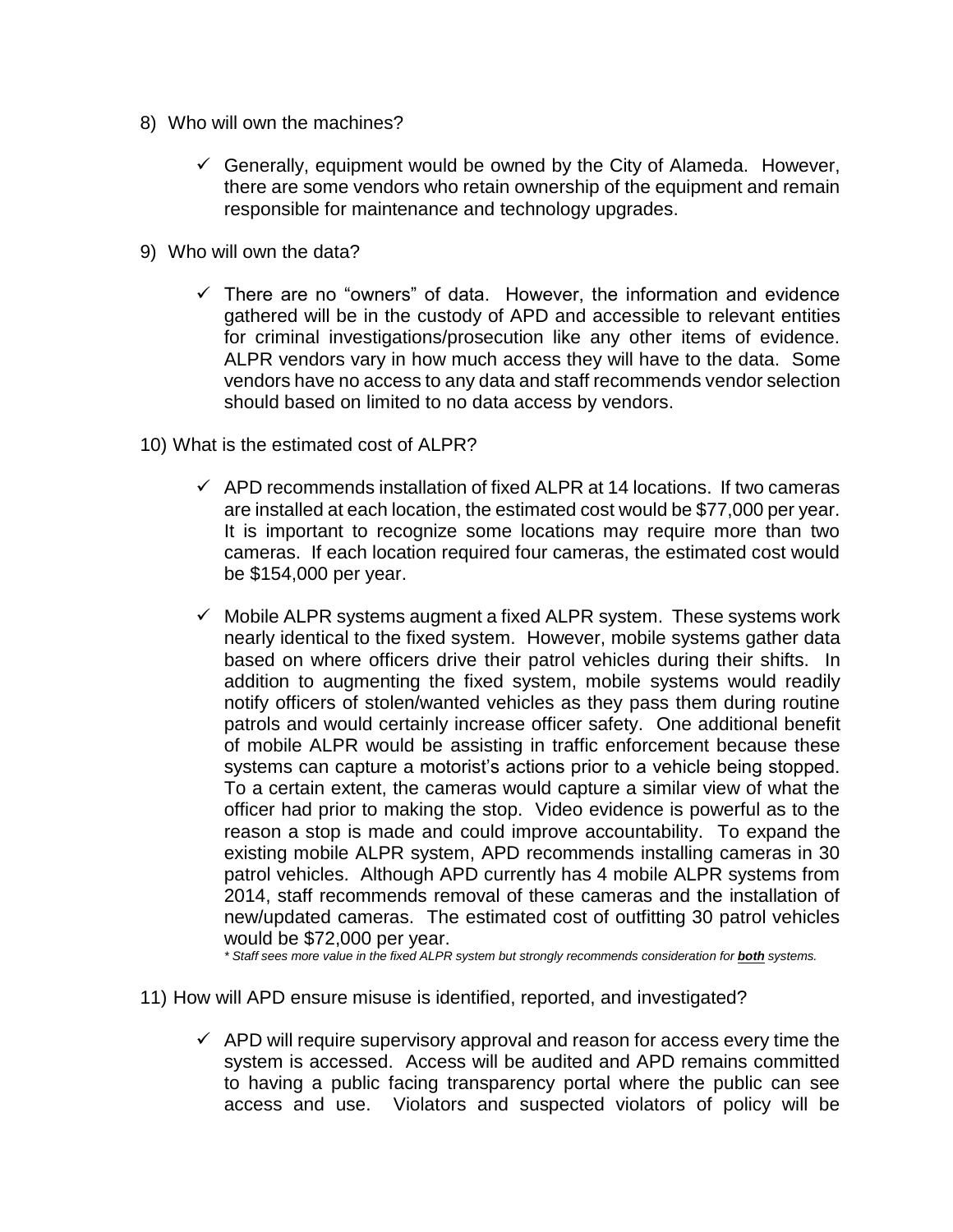- 8) Who will own the machines?
	- $\checkmark$  Generally, equipment would be owned by the City of Alameda. However, there are some vendors who retain ownership of the equipment and remain responsible for maintenance and technology upgrades.
- 9) Who will own the data?
	- $\checkmark$  There are no "owners" of data. However, the information and evidence gathered will be in the custody of APD and accessible to relevant entities for criminal investigations/prosecution like any other items of evidence. ALPR vendors vary in how much access they will have to the data. Some vendors have no access to any data and staff recommends vendor selection should based on limited to no data access by vendors.
- 10) What is the estimated cost of ALPR?
	- $\checkmark$  APD recommends installation of fixed ALPR at 14 locations. If two cameras are installed at each location, the estimated cost would be \$77,000 per year. It is important to recognize some locations may require more than two cameras. If each location required four cameras, the estimated cost would be \$154,000 per year.
	- $\checkmark$  Mobile ALPR systems augment a fixed ALPR system. These systems work nearly identical to the fixed system. However, mobile systems gather data based on where officers drive their patrol vehicles during their shifts. In addition to augmenting the fixed system, mobile systems would readily notify officers of stolen/wanted vehicles as they pass them during routine patrols and would certainly increase officer safety. One additional benefit of mobile ALPR would be assisting in traffic enforcement because these systems can capture a motorist's actions prior to a vehicle being stopped. To a certain extent, the cameras would capture a similar view of what the officer had prior to making the stop. Video evidence is powerful as to the reason a stop is made and could improve accountability. To expand the existing mobile ALPR system, APD recommends installing cameras in 30 patrol vehicles. Although APD currently has 4 mobile ALPR systems from 2014, staff recommends removal of these cameras and the installation of new/updated cameras. The estimated cost of outfitting 30 patrol vehicles would be \$72,000 per year.

*\* Staff sees more value in the fixed ALPR system but strongly recommends consideration for both systems.* 

- 11) How will APD ensure misuse is identified, reported, and investigated?
	- $\checkmark$  APD will require supervisory approval and reason for access every time the system is accessed. Access will be audited and APD remains committed to having a public facing transparency portal where the public can see access and use. Violators and suspected violators of policy will be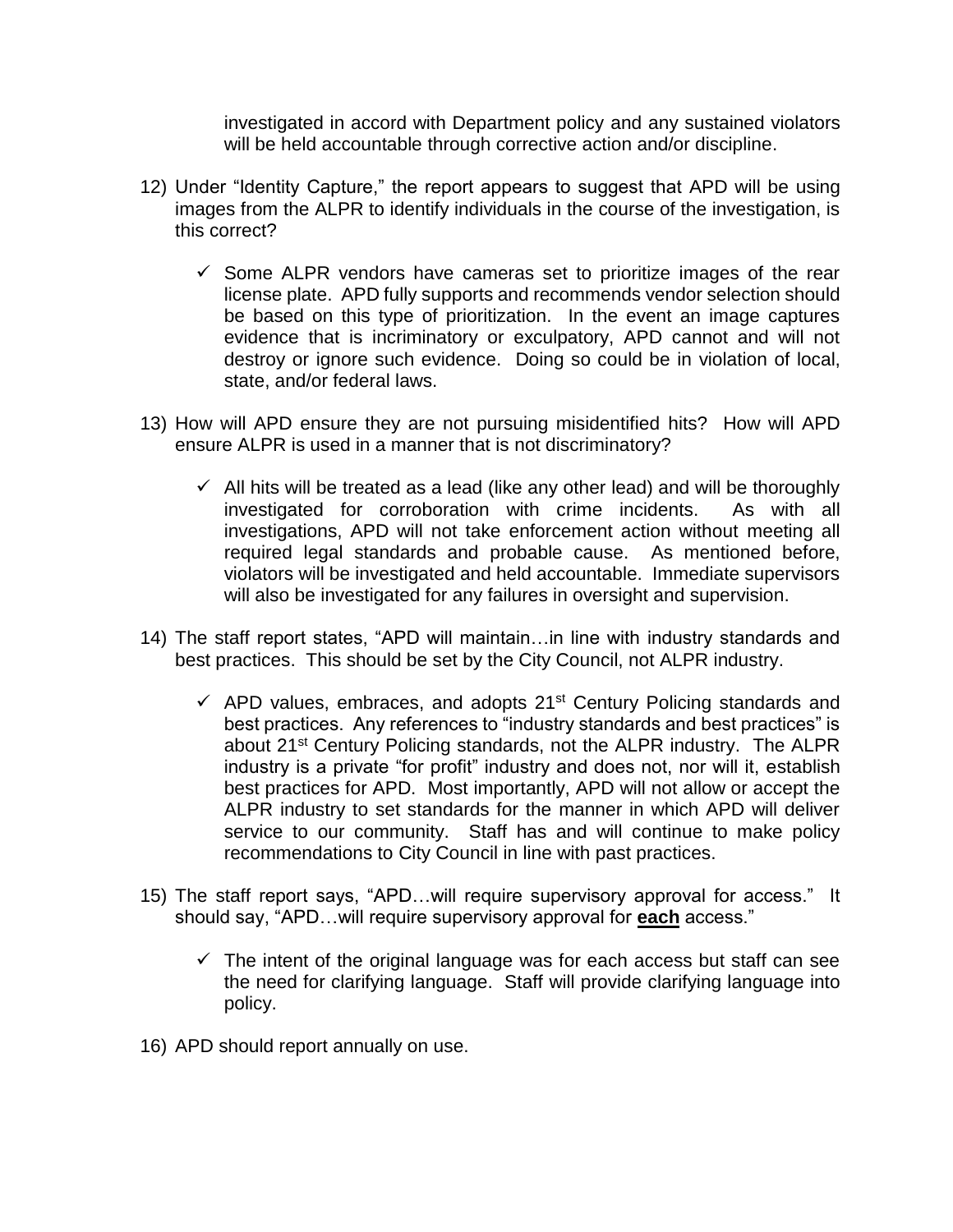investigated in accord with Department policy and any sustained violators will be held accountable through corrective action and/or discipline.

- 12) Under "Identity Capture," the report appears to suggest that APD will be using images from the ALPR to identify individuals in the course of the investigation, is this correct?
	- $\checkmark$  Some ALPR vendors have cameras set to prioritize images of the rear license plate. APD fully supports and recommends vendor selection should be based on this type of prioritization. In the event an image captures evidence that is incriminatory or exculpatory, APD cannot and will not destroy or ignore such evidence. Doing so could be in violation of local, state, and/or federal laws.
- 13) How will APD ensure they are not pursuing misidentified hits? How will APD ensure ALPR is used in a manner that is not discriminatory?
	- $\checkmark$  All hits will be treated as a lead (like any other lead) and will be thoroughly investigated for corroboration with crime incidents. As with all investigations, APD will not take enforcement action without meeting all required legal standards and probable cause. As mentioned before, violators will be investigated and held accountable. Immediate supervisors will also be investigated for any failures in oversight and supervision.
- 14) The staff report states, "APD will maintain…in line with industry standards and best practices. This should be set by the City Council, not ALPR industry.
	- $\checkmark$  APD values, embraces, and adopts 21<sup>st</sup> Century Policing standards and best practices. Any references to "industry standards and best practices" is about 21st Century Policing standards, not the ALPR industry. The ALPR industry is a private "for profit" industry and does not, nor will it, establish best practices for APD. Most importantly, APD will not allow or accept the ALPR industry to set standards for the manner in which APD will deliver service to our community. Staff has and will continue to make policy recommendations to City Council in line with past practices.
- 15) The staff report says, "APD…will require supervisory approval for access." It should say, "APD…will require supervisory approval for **each** access."
	- $\checkmark$  The intent of the original language was for each access but staff can see the need for clarifying language. Staff will provide clarifying language into policy.
- 16) APD should report annually on use.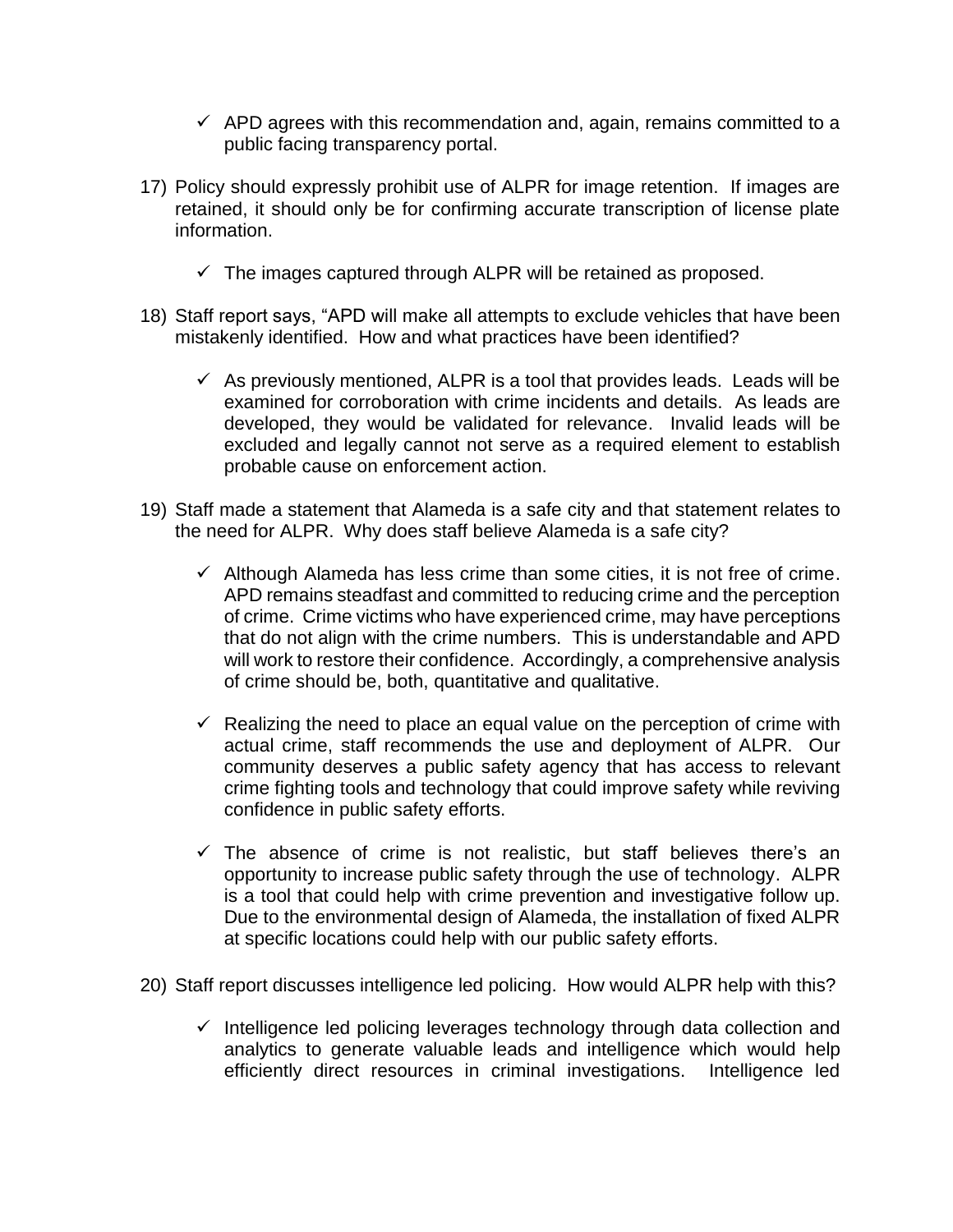- $\checkmark$  APD agrees with this recommendation and, again, remains committed to a public facing transparency portal.
- 17) Policy should expressly prohibit use of ALPR for image retention. If images are retained, it should only be for confirming accurate transcription of license plate information.
	- $\checkmark$  The images captured through ALPR will be retained as proposed.
- 18) Staff report says, "APD will make all attempts to exclude vehicles that have been mistakenly identified. How and what practices have been identified?
	- $\checkmark$  As previously mentioned, ALPR is a tool that provides leads. Leads will be examined for corroboration with crime incidents and details. As leads are developed, they would be validated for relevance. Invalid leads will be excluded and legally cannot not serve as a required element to establish probable cause on enforcement action.
- 19) Staff made a statement that Alameda is a safe city and that statement relates to the need for ALPR. Why does staff believe Alameda is a safe city?
	- $\checkmark$  Although Alameda has less crime than some cities, it is not free of crime. APD remains steadfast and committed to reducing crime and the perception of crime. Crime victims who have experienced crime, may have perceptions that do not align with the crime numbers. This is understandable and APD will work to restore their confidence. Accordingly, a comprehensive analysis of crime should be, both, quantitative and qualitative.
	- $\checkmark$  Realizing the need to place an equal value on the perception of crime with actual crime, staff recommends the use and deployment of ALPR. Our community deserves a public safety agency that has access to relevant crime fighting tools and technology that could improve safety while reviving confidence in public safety efforts.
	- $\checkmark$  The absence of crime is not realistic, but staff believes there's an opportunity to increase public safety through the use of technology. ALPR is a tool that could help with crime prevention and investigative follow up. Due to the environmental design of Alameda, the installation of fixed ALPR at specific locations could help with our public safety efforts.
- 20) Staff report discusses intelligence led policing. How would ALPR help with this?
	- $\checkmark$  Intelligence led policing leverages technology through data collection and analytics to generate valuable leads and intelligence which would help efficiently direct resources in criminal investigations. Intelligence led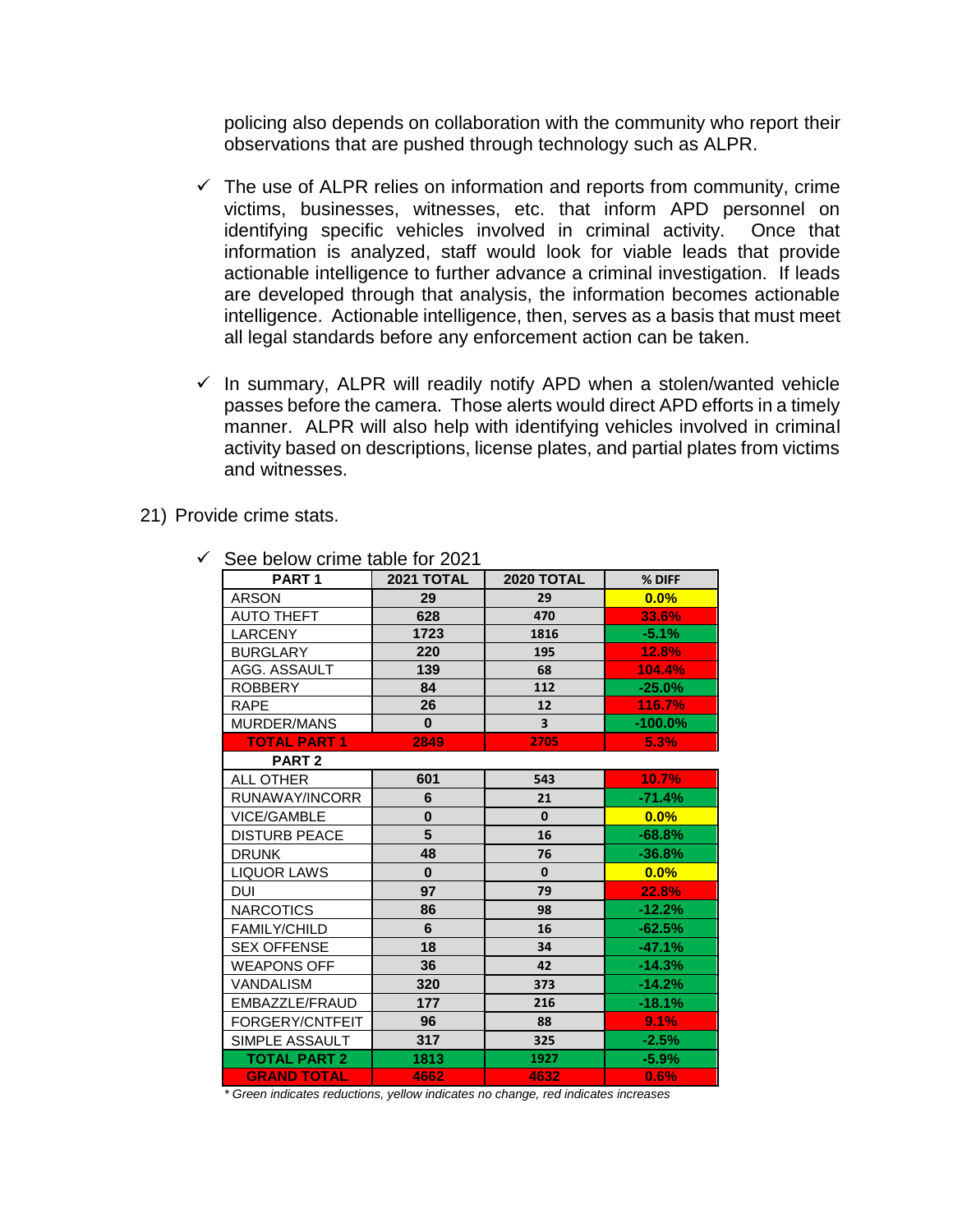policing also depends on collaboration with the community who report their observations that are pushed through technology such as ALPR.

- $\checkmark$  The use of ALPR relies on information and reports from community, crime victims, businesses, witnesses, etc. that inform APD personnel on identifying specific vehicles involved in criminal activity. Once that information is analyzed, staff would look for viable leads that provide actionable intelligence to further advance a criminal investigation. If leads are developed through that analysis, the information becomes actionable intelligence. Actionable intelligence, then, serves as a basis that must meet all legal standards before any enforcement action can be taken.
- $\checkmark$  In summary, ALPR will readily notify APD when a stolen/wanted vehicle passes before the camera. Those alerts would direct APD efforts in a timely manner. ALPR will also help with identifying vehicles involved in criminal activity based on descriptions, license plates, and partial plates from victims and witnesses.

21) Provide crime stats.

| PART <sub>1</sub>    | <b>2021 TOTAL</b> | <b>2020 TOTAL</b>       | % DIFF     |
|----------------------|-------------------|-------------------------|------------|
| <b>ARSON</b>         | 29                | 29                      | 0.0%       |
| <b>AUTO THEFT</b>    | 628               | 470                     | 33.6%      |
| <b>LARCENY</b>       | 1723              | 1816                    | $-5.1%$    |
| <b>BURGLARY</b>      | 220               | 195                     | 12.8%      |
| AGG. ASSAULT         | 139               | 68                      | 104.4%     |
| <b>ROBBERY</b>       | 84                | 112                     | $-25.0%$   |
| <b>RAPE</b>          | 26                | 12                      | 116.7%     |
| MURDER/MANS          | $\bf{0}$          | $\overline{\mathbf{3}}$ | $-100.0\%$ |
| <b>TOTAL PART 1</b>  | 2849              | 2705                    | 5.3%       |
| PART <sub>2</sub>    |                   |                         |            |
| <b>ALL OTHER</b>     | 601               | 543                     | 10.7%      |
| RUNAWAY/INCORR       | 6                 | 21                      | $-71.4%$   |
| VICE/GAMBLE          | $\bf{0}$          | $\mathbf{0}$            | 0.0%       |
| <b>DISTURB PEACE</b> | 5                 | 16                      | $-68.8%$   |
| <b>DRUNK</b>         | 48                | 76                      | $-36.8%$   |
| <b>LIQUOR LAWS</b>   | $\bf{0}$          | $\mathbf{0}$            | 0.0%       |
| <b>DUI</b>           | 97                | 79                      | 22.8%      |
| <b>NARCOTICS</b>     | 86                | 98                      | $-12.2%$   |
| <b>FAMILY/CHILD</b>  | 6                 | 16                      | $-62.5%$   |
| <b>SEX OFFENSE</b>   | 18                | 34                      | $-47.1%$   |
| <b>WEAPONS OFF</b>   | 36                | 42                      | $-14.3%$   |
| VANDALISM            | 320               | 373                     | $-14.2%$   |
| EMBAZZLE/FRAUD       | 177               | 216                     | $-18.1%$   |
| FORGERY/CNTFEIT      | 96                | 88                      | 9.1%       |
| SIMPLE ASSAULT       | 317               | 325                     | $-2.5%$    |
| <b>TOTAL PART 2</b>  | 1813              | 1927                    | $-5.9%$    |
| <b>GRAND TOTAL</b>   | 4662              | 4632                    | 0.6%       |

 $\checkmark$  See below crime table for 2021

*\* Green indicates reductions, yellow indicates no change, red indicates increases*